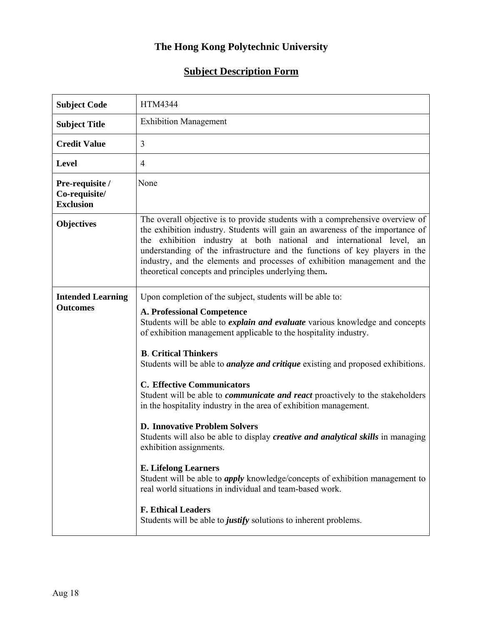## **The Hong Kong Polytechnic University**

## **Subject Description Form**

| <b>Subject Code</b>                                  | HTM4344                                                                                                                                                                                                                                                                                                                                                                                                                                                                                                                                                                                                                                                                                                                                                                                                                                                                                                                                                                                                                                |
|------------------------------------------------------|----------------------------------------------------------------------------------------------------------------------------------------------------------------------------------------------------------------------------------------------------------------------------------------------------------------------------------------------------------------------------------------------------------------------------------------------------------------------------------------------------------------------------------------------------------------------------------------------------------------------------------------------------------------------------------------------------------------------------------------------------------------------------------------------------------------------------------------------------------------------------------------------------------------------------------------------------------------------------------------------------------------------------------------|
| <b>Subject Title</b>                                 | <b>Exhibition Management</b>                                                                                                                                                                                                                                                                                                                                                                                                                                                                                                                                                                                                                                                                                                                                                                                                                                                                                                                                                                                                           |
| <b>Credit Value</b>                                  | 3                                                                                                                                                                                                                                                                                                                                                                                                                                                                                                                                                                                                                                                                                                                                                                                                                                                                                                                                                                                                                                      |
| <b>Level</b>                                         | $\overline{4}$                                                                                                                                                                                                                                                                                                                                                                                                                                                                                                                                                                                                                                                                                                                                                                                                                                                                                                                                                                                                                         |
| Pre-requisite /<br>Co-requisite/<br><b>Exclusion</b> | None                                                                                                                                                                                                                                                                                                                                                                                                                                                                                                                                                                                                                                                                                                                                                                                                                                                                                                                                                                                                                                   |
| <b>Objectives</b>                                    | The overall objective is to provide students with a comprehensive overview of<br>the exhibition industry. Students will gain an awareness of the importance of<br>the exhibition industry at both national and international level, an<br>understanding of the infrastructure and the functions of key players in the<br>industry, and the elements and processes of exhibition management and the<br>theoretical concepts and principles underlying them.                                                                                                                                                                                                                                                                                                                                                                                                                                                                                                                                                                             |
| <b>Intended Learning</b><br><b>Outcomes</b>          | Upon completion of the subject, students will be able to:<br><b>A. Professional Competence</b><br>Students will be able to explain and evaluate various knowledge and concepts<br>of exhibition management applicable to the hospitality industry.<br><b>B.</b> Critical Thinkers<br>Students will be able to <i>analyze and critique</i> existing and proposed exhibitions.<br><b>C. Effective Communicators</b><br>Student will be able to <i>communicate and react</i> proactively to the stakeholders<br>in the hospitality industry in the area of exhibition management.<br><b>D. Innovative Problem Solvers</b><br>Students will also be able to display <i>creative and analytical skills</i> in managing<br>exhibition assignments.<br><b>E.</b> Lifelong Learners<br>Student will be able to <i>apply</i> knowledge/concepts of exhibition management to<br>real world situations in individual and team-based work.<br><b>F. Ethical Leaders</b><br>Students will be able to <i>justify</i> solutions to inherent problems. |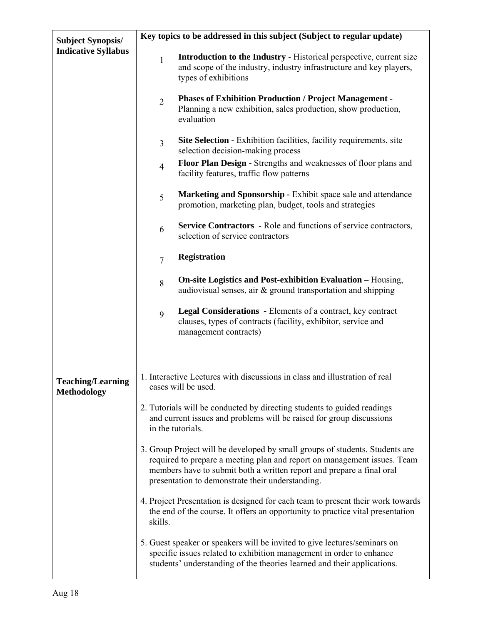| <b>Subject Synopsis/</b>                       | Key topics to be addressed in this subject (Subject to regular update)                                                                                                                                                                                                                                                                                                                                                                                                                                                                                                                                                                        |                                                                                                                                                                                                                              |  |  |  |  |  |
|------------------------------------------------|-----------------------------------------------------------------------------------------------------------------------------------------------------------------------------------------------------------------------------------------------------------------------------------------------------------------------------------------------------------------------------------------------------------------------------------------------------------------------------------------------------------------------------------------------------------------------------------------------------------------------------------------------|------------------------------------------------------------------------------------------------------------------------------------------------------------------------------------------------------------------------------|--|--|--|--|--|
| <b>Indicative Syllabus</b>                     | $\mathbf{1}$                                                                                                                                                                                                                                                                                                                                                                                                                                                                                                                                                                                                                                  | Introduction to the Industry - Historical perspective, current size<br>and scope of the industry, industry infrastructure and key players,<br>types of exhibitions                                                           |  |  |  |  |  |
|                                                | $\overline{2}$                                                                                                                                                                                                                                                                                                                                                                                                                                                                                                                                                                                                                                | <b>Phases of Exhibition Production / Project Management -</b><br>Planning a new exhibition, sales production, show production,<br>evaluation                                                                                 |  |  |  |  |  |
|                                                | 3                                                                                                                                                                                                                                                                                                                                                                                                                                                                                                                                                                                                                                             | <b>Site Selection - Exhibition facilities, facility requirements, site</b><br>selection decision-making process                                                                                                              |  |  |  |  |  |
|                                                | $\overline{4}$                                                                                                                                                                                                                                                                                                                                                                                                                                                                                                                                                                                                                                | Floor Plan Design - Strengths and weaknesses of floor plans and<br>facility features, traffic flow patterns                                                                                                                  |  |  |  |  |  |
|                                                | 5                                                                                                                                                                                                                                                                                                                                                                                                                                                                                                                                                                                                                                             | Marketing and Sponsorship - Exhibit space sale and attendance<br>promotion, marketing plan, budget, tools and strategies                                                                                                     |  |  |  |  |  |
|                                                | 6                                                                                                                                                                                                                                                                                                                                                                                                                                                                                                                                                                                                                                             | <b>Service Contractors</b> - Role and functions of service contractors,<br>selection of service contractors                                                                                                                  |  |  |  |  |  |
|                                                | $\overline{7}$                                                                                                                                                                                                                                                                                                                                                                                                                                                                                                                                                                                                                                | <b>Registration</b>                                                                                                                                                                                                          |  |  |  |  |  |
|                                                | 8                                                                                                                                                                                                                                                                                                                                                                                                                                                                                                                                                                                                                                             | <b>On-site Logistics and Post-exhibition Evaluation - Housing,</b><br>audiovisual senses, air & ground transportation and shipping                                                                                           |  |  |  |  |  |
|                                                | 9                                                                                                                                                                                                                                                                                                                                                                                                                                                                                                                                                                                                                                             | Legal Considerations - Elements of a contract, key contract<br>clauses, types of contracts (facility, exhibitor, service and<br>management contracts)                                                                        |  |  |  |  |  |
|                                                |                                                                                                                                                                                                                                                                                                                                                                                                                                                                                                                                                                                                                                               | 1. Interactive Lectures with discussions in class and illustration of real                                                                                                                                                   |  |  |  |  |  |
| <b>Teaching/Learning</b><br><b>Methodology</b> | cases will be used.                                                                                                                                                                                                                                                                                                                                                                                                                                                                                                                                                                                                                           |                                                                                                                                                                                                                              |  |  |  |  |  |
|                                                | 2. Tutorials will be conducted by directing students to guided readings<br>and current issues and problems will be raised for group discussions<br>in the tutorials.<br>3. Group Project will be developed by small groups of students. Students are<br>required to prepare a meeting plan and report on management issues. Team<br>members have to submit both a written report and prepare a final oral<br>presentation to demonstrate their understanding.<br>4. Project Presentation is designed for each team to present their work towards<br>the end of the course. It offers an opportunity to practice vital presentation<br>skills. |                                                                                                                                                                                                                              |  |  |  |  |  |
|                                                |                                                                                                                                                                                                                                                                                                                                                                                                                                                                                                                                                                                                                                               |                                                                                                                                                                                                                              |  |  |  |  |  |
|                                                |                                                                                                                                                                                                                                                                                                                                                                                                                                                                                                                                                                                                                                               |                                                                                                                                                                                                                              |  |  |  |  |  |
|                                                |                                                                                                                                                                                                                                                                                                                                                                                                                                                                                                                                                                                                                                               | 5. Guest speaker or speakers will be invited to give lectures/seminars on<br>specific issues related to exhibition management in order to enhance<br>students' understanding of the theories learned and their applications. |  |  |  |  |  |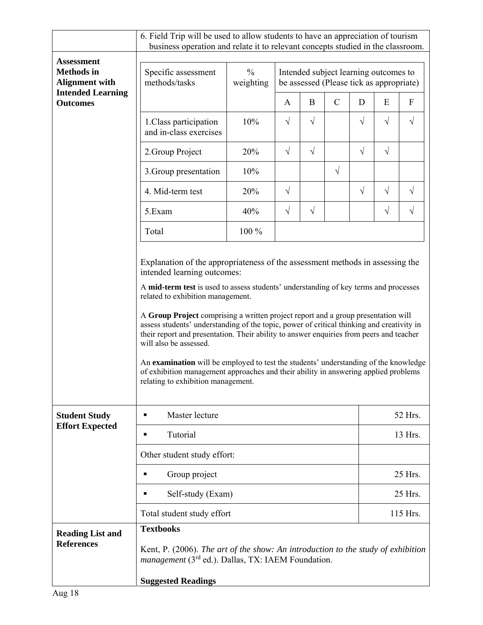|                                                                                           | 6. Field Trip will be used to allow students to have an appreciation of tourism<br>business operation and relate it to relevant concepts studied in the classroom.                                                                                                                                                                                                                                                                                                                                                                                                                                                                                    |                            |                                                                                   |            |               |           |            |                           |  |
|-------------------------------------------------------------------------------------------|-------------------------------------------------------------------------------------------------------------------------------------------------------------------------------------------------------------------------------------------------------------------------------------------------------------------------------------------------------------------------------------------------------------------------------------------------------------------------------------------------------------------------------------------------------------------------------------------------------------------------------------------------------|----------------------------|-----------------------------------------------------------------------------------|------------|---------------|-----------|------------|---------------------------|--|
| <b>Assessment</b>                                                                         |                                                                                                                                                                                                                                                                                                                                                                                                                                                                                                                                                                                                                                                       |                            |                                                                                   |            |               |           |            |                           |  |
| <b>Methods</b> in<br><b>Alignment with</b><br><b>Intended Learning</b><br><b>Outcomes</b> | Specific assessment<br>methods/tasks                                                                                                                                                                                                                                                                                                                                                                                                                                                                                                                                                                                                                  | $\frac{0}{0}$<br>weighting | Intended subject learning outcomes to<br>be assessed (Please tick as appropriate) |            |               |           |            |                           |  |
|                                                                                           |                                                                                                                                                                                                                                                                                                                                                                                                                                                                                                                                                                                                                                                       |                            | A                                                                                 | $\bf{B}$   | $\mathcal{C}$ | D         | E          | $\boldsymbol{\mathrm{F}}$ |  |
|                                                                                           | 1. Class participation<br>and in-class exercises                                                                                                                                                                                                                                                                                                                                                                                                                                                                                                                                                                                                      | 10%                        | $\sqrt{}$                                                                         | $\sqrt{ }$ |               | $\sqrt{}$ | $\sqrt{}$  | V                         |  |
|                                                                                           | 2. Group Project                                                                                                                                                                                                                                                                                                                                                                                                                                                                                                                                                                                                                                      | 20%                        | $\sqrt{}$                                                                         | $\sqrt{}$  |               | $\sqrt{}$ | $\sqrt{}$  |                           |  |
|                                                                                           | 3. Group presentation                                                                                                                                                                                                                                                                                                                                                                                                                                                                                                                                                                                                                                 | 10%                        |                                                                                   |            | $\sqrt{}$     |           |            |                           |  |
|                                                                                           | 4. Mid-term test                                                                                                                                                                                                                                                                                                                                                                                                                                                                                                                                                                                                                                      | 20%                        | $\sqrt{ }$                                                                        |            |               | $\sqrt{}$ | $\sqrt{ }$ | $\sqrt{}$                 |  |
|                                                                                           | 5.Exam                                                                                                                                                                                                                                                                                                                                                                                                                                                                                                                                                                                                                                                | 40%                        | $\sqrt{}$                                                                         | $\sqrt{}$  |               |           | $\sqrt{}$  | $\sqrt{}$                 |  |
|                                                                                           | Total                                                                                                                                                                                                                                                                                                                                                                                                                                                                                                                                                                                                                                                 | 100 %                      |                                                                                   |            |               |           |            |                           |  |
|                                                                                           | A mid-term test is used to assess students' understanding of key terms and processes<br>related to exhibition management.<br>A Group Project comprising a written project report and a group presentation will<br>assess students' understanding of the topic, power of critical thinking and creativity in<br>their report and presentation. Their ability to answer enquiries from peers and teacher<br>will also be assessed.<br>An examination will be employed to test the students' understanding of the knowledge<br>of exhibition management approaches and their ability in answering applied problems<br>relating to exhibition management. |                            |                                                                                   |            |               |           |            |                           |  |
| <b>Student Study</b><br><b>Effort Expected</b>                                            | Master lecture<br>٠                                                                                                                                                                                                                                                                                                                                                                                                                                                                                                                                                                                                                                   |                            |                                                                                   |            |               |           | 52 Hrs.    |                           |  |
|                                                                                           | Tutorial                                                                                                                                                                                                                                                                                                                                                                                                                                                                                                                                                                                                                                              |                            |                                                                                   |            |               |           | 13 Hrs.    |                           |  |
|                                                                                           | Other student study effort:                                                                                                                                                                                                                                                                                                                                                                                                                                                                                                                                                                                                                           |                            |                                                                                   |            |               |           |            |                           |  |
|                                                                                           | Group project<br>٠                                                                                                                                                                                                                                                                                                                                                                                                                                                                                                                                                                                                                                    |                            |                                                                                   |            |               |           | 25 Hrs.    |                           |  |
|                                                                                           | Self-study (Exam)<br>٠                                                                                                                                                                                                                                                                                                                                                                                                                                                                                                                                                                                                                                |                            |                                                                                   |            |               |           | 25 Hrs.    |                           |  |
|                                                                                           | Total student study effort                                                                                                                                                                                                                                                                                                                                                                                                                                                                                                                                                                                                                            |                            |                                                                                   |            |               |           |            | 115 Hrs.                  |  |
| <b>Reading List and</b><br><b>References</b>                                              | <b>Textbooks</b><br>Kent, P. (2006). The art of the show: An introduction to the study of exhibition<br><i>management</i> (3 <sup>rd</sup> ed.). Dallas, TX: IAEM Foundation.<br><b>Suggested Readings</b>                                                                                                                                                                                                                                                                                                                                                                                                                                            |                            |                                                                                   |            |               |           |            |                           |  |